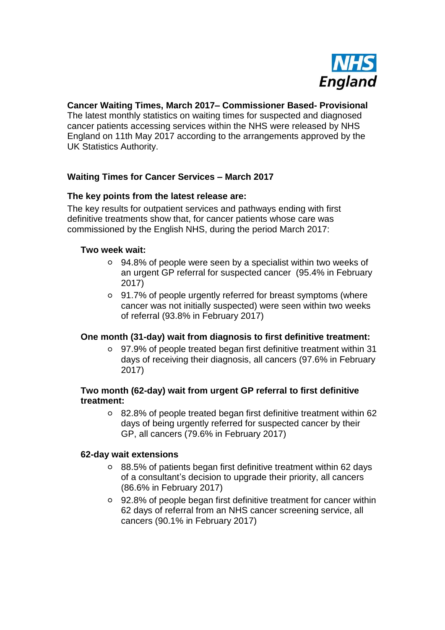

# **Cancer Waiting Times, March 2017– Commissioner Based- Provisional**

The latest monthly statistics on waiting times for suspected and diagnosed cancer patients accessing services within the NHS were released by NHS England on 11th May 2017 according to the arrangements approved by the UK Statistics Authority.

## **Waiting Times for Cancer Services – March 2017**

#### **The key points from the latest release are:**

The key results for outpatient services and pathways ending with first definitive treatments show that, for cancer patients whose care was commissioned by the English NHS, during the period March 2017:

#### **Two week wait:**

- 94.8% of people were seen by a specialist within two weeks of an urgent GP referral for suspected cancer (95.4% in February 2017)
- 91.7% of people urgently referred for breast symptoms (where cancer was not initially suspected) were seen within two weeks of referral (93.8% in February 2017)

#### **One month (31-day) wait from diagnosis to first definitive treatment:**

97.9% of people treated began first definitive treatment within 31 days of receiving their diagnosis, all cancers (97.6% in February 2017)

#### **Two month (62-day) wait from urgent GP referral to first definitive treatment:**

82.8% of people treated began first definitive treatment within 62 days of being urgently referred for suspected cancer by their GP, all cancers (79.6% in February 2017)

#### **62-day wait extensions**

- 88.5% of patients began first definitive treatment within 62 days of a consultant's decision to upgrade their priority, all cancers (86.6% in February 2017)
- 92.8% of people began first definitive treatment for cancer within 62 days of referral from an NHS cancer screening service, all cancers (90.1% in February 2017)